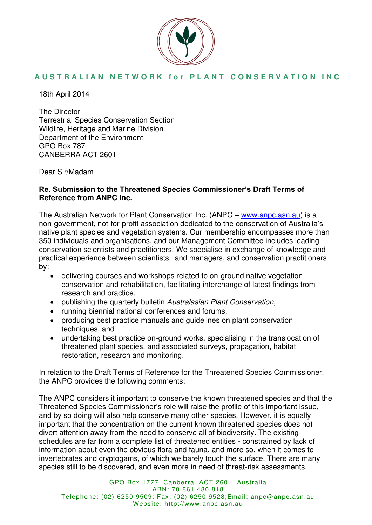

18th April 2014

The Director Terrestrial Species Conservation Section Wildlife, Heritage and Marine Division Department of the Environment GPO Box 787 CANBERRA ACT 2601

Dear Sir/Madam

### **Re. Submission to the Threatened Species Commissioner's Draft Terms of Reference from ANPC Inc.**

The Australian Network for Plant Conservation Inc. (ANPC – [www.anpc.asn.au\)](http://www.anpc.asn.au/) is a non-government, not-for-profit association dedicated to the conservation of Australia's native plant species and vegetation systems. Our membership encompasses more than 350 individuals and organisations, and our Management Committee includes leading conservation scientists and practitioners. We specialise in exchange of knowledge and practical experience between scientists, land managers, and conservation practitioners by:

- delivering courses and workshops related to on-ground native vegetation conservation and rehabilitation, facilitating interchange of latest findings from research and practice,
- publishing the quarterly bulletin Australasian Plant Conservation,
- running biennial national conferences and forums,
- producing best practice manuals and guidelines on plant conservation techniques, and
- undertaking best practice on-ground works, specialising in the translocation of threatened plant species, and associated surveys, propagation, habitat restoration, research and monitoring.

In relation to the Draft Terms of Reference for the Threatened Species Commissioner, the ANPC provides the following comments:

The ANPC considers it important to conserve the known threatened species and that the Threatened Species Commissioner's role will raise the profile of this important issue, and by so doing will also help conserve many other species. However, it is equally important that the concentration on the current known threatened species does not divert attention away from the need to conserve all of biodiversity. The existing schedules are far from a complete list of threatened entities - constrained by lack of information about even the obvious flora and fauna, and more so, when it comes to invertebrates and cryptogams, of which we barely touch the surface. There are many species still to be discovered, and even more in need of threat-risk assessments.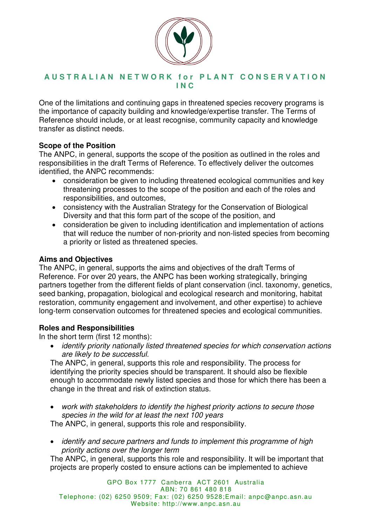

One of the limitations and continuing gaps in threatened species recovery programs is the importance of capacity building and knowledge/expertise transfer. The Terms of Reference should include, or at least recognise, community capacity and knowledge transfer as distinct needs.

## **Scope of the Position**

The ANPC, in general, supports the scope of the position as outlined in the roles and responsibilities in the draft Terms of Reference. To effectively deliver the outcomes identified, the ANPC recommends:

- consideration be given to including threatened ecological communities and key threatening processes to the scope of the position and each of the roles and responsibilities, and outcomes,
- consistency with the Australian Strategy for the Conservation of Biological Diversity and that this form part of the scope of the position, and
- consideration be given to including identification and implementation of actions that will reduce the number of non-priority and non-listed species from becoming a priority or listed as threatened species.

## **Aims and Objectives**

The ANPC, in general, supports the aims and objectives of the draft Terms of Reference. For over 20 years, the ANPC has been working strategically, bringing partners together from the different fields of plant conservation (incl. taxonomy, genetics, seed banking, propagation, biological and ecological research and monitoring, habitat restoration, community engagement and involvement, and other expertise) to achieve long-term conservation outcomes for threatened species and ecological communities.

# **Roles and Responsibilities**

In the short term (first 12 months):

• identify priority nationally listed threatened species for which conservation actions are likely to be successful.

The ANPC, in general, supports this role and responsibility. The process for identifying the priority species should be transparent. It should also be flexible enough to accommodate newly listed species and those for which there has been a change in the threat and risk of extinction status.

• work with stakeholders to identify the highest priority actions to secure those species in the wild for at least the next 100 years

The ANPC, in general, supports this role and responsibility.

• identify and secure partners and funds to implement this programme of high priority actions over the longer term

The ANPC, in general, supports this role and responsibility. It will be important that projects are properly costed to ensure actions can be implemented to achieve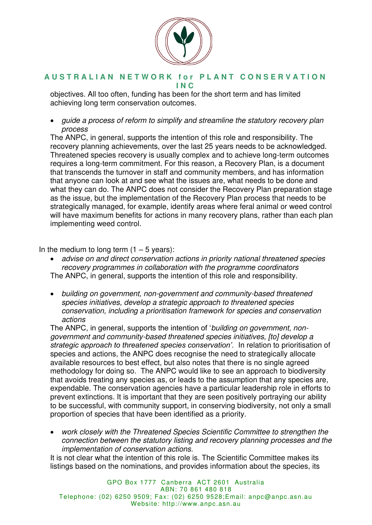

objectives. All too often, funding has been for the short term and has limited achieving long term conservation outcomes.

• guide a process of reform to simplify and streamline the statutory recovery plan process

The ANPC, in general, supports the intention of this role and responsibility. The recovery planning achievements, over the last 25 years needs to be acknowledged. Threatened species recovery is usually complex and to achieve long-term outcomes requires a long-term commitment. For this reason, a Recovery Plan, is a document that transcends the turnover in staff and community members, and has information that anyone can look at and see what the issues are, what needs to be done and what they can do. The ANPC does not consider the Recovery Plan preparation stage as the issue, but the implementation of the Recovery Plan process that needs to be strategically managed, for example, identify areas where feral animal or weed control will have maximum benefits for actions in many recovery plans, rather than each plan implementing weed control.

In the medium to long term  $(1 - 5$  years):

- advise on and direct conservation actions in priority national threatened species recovery programmes in collaboration with the programme coordinators The ANPC, in general, supports the intention of this role and responsibility.
- building on government, non-government and community-based threatened species initiatives, develop a strategic approach to threatened species conservation, including a prioritisation framework for species and conservation actions

The ANPC, in general, supports the intention of 'building on government, nongovernment and community-based threatened species initiatives, [to] develop a *strategic approach to threatened species conservation'.* In relation to prioritisation of species and actions, the ANPC does recognise the need to strategically allocate available resources to best effect, but also notes that there is no single agreed methodology for doing so. The ANPC would like to see an approach to biodiversity that avoids treating any species as, or leads to the assumption that any species are, expendable. The conservation agencies have a particular leadership role in efforts to prevent extinctions. It is important that they are seen positively portraying our ability to be successful, with community support, in conserving biodiversity, not only a small proportion of species that have been identified as a priority.

• work closely with the Threatened Species Scientific Committee to strengthen the connection between the statutory listing and recovery planning processes and the implementation of conservation actions.

It is not clear what the intention of this role is. The Scientific Committee makes its listings based on the nominations, and provides information about the species, its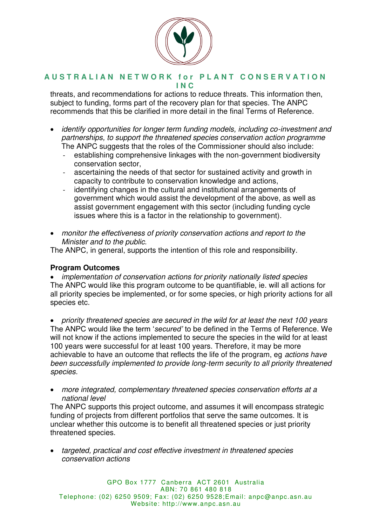

threats, and recommendations for actions to reduce threats. This information then, subject to funding, forms part of the recovery plan for that species. The ANPC recommends that this be clarified in more detail in the final Terms of Reference.

- identify opportunities for longer term funding models, including co-investment and partnerships, to support the threatened species conservation action programme The ANPC suggests that the roles of the Commissioner should also include:
	- establishing comprehensive linkages with the non-government biodiversity conservation sector,
	- ascertaining the needs of that sector for sustained activity and growth in capacity to contribute to conservation knowledge and actions,
	- identifying changes in the cultural and institutional arrangements of government which would assist the development of the above, as well as assist government engagement with this sector (including funding cycle issues where this is a factor in the relationship to government).
- monitor the effectiveness of priority conservation actions and report to the Minister and to the public.

The ANPC, in general, supports the intention of this role and responsibility.

# **Program Outcomes**

• implementation of conservation actions for priority nationally listed species The ANPC would like this program outcome to be quantifiable, ie. will all actions for all priority species be implemented, or for some species, or high priority actions for all species etc.

• priority threatened species are secured in the wild for at least the next 100 years The ANPC would like the term '*secured'* to be defined in the Terms of Reference. We will not know if the actions implemented to secure the species in the wild for at least 100 years were successful for at least 100 years. Therefore, it may be more achievable to have an outcome that reflects the life of the program, eg actions have been successfully implemented to provide long-term security to all priority threatened species.

• more integrated, complementary threatened species conservation efforts at a national level

The ANPC supports this project outcome, and assumes it will encompass strategic funding of projects from different portfolios that serve the same outcomes. It is unclear whether this outcome is to benefit all threatened species or just priority threatened species.

• targeted, practical and cost effective investment in threatened species conservation actions